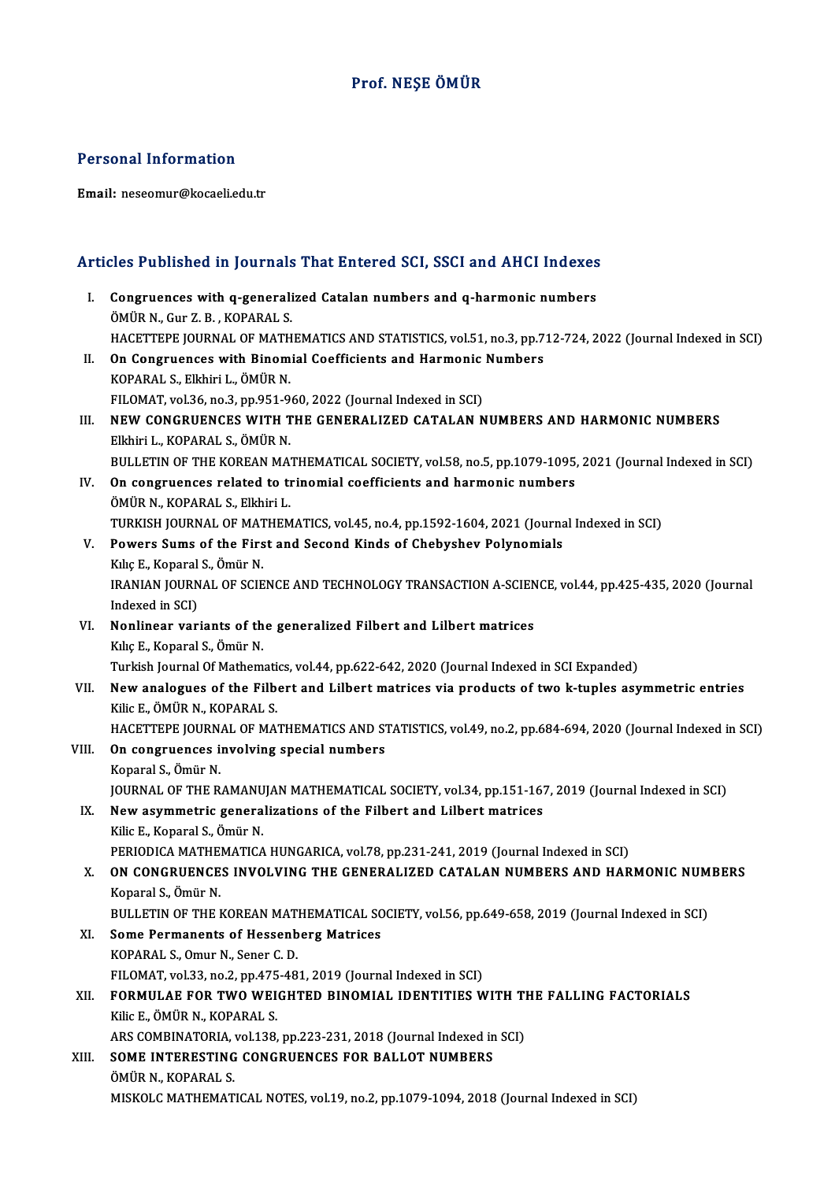### Prof.NEŞE ÖMÜR

#### Personal Information

Email: neseomur@kocaeli.edu.tr

# Articles Published in Journals That Entered SCI, SSCI and AHCI Indexes

rticles Published in Journals That Entered SCI, SSCI and AHCI Indexes<br>I. Congruences with q-generalized Catalan numbers and q-harmonic numbers<br>ÖMÜP N. Cur Z. B. KORARALS I. Congruences with q-generalized Catalan numbers and q-harmonic numbers ÖMÜR N., Gur Z.B., KOPARAL S. HACETTEPE JOURNAL OF MATHEMATICS AND STATISTICS, vol.51, no.3, pp.712-724, 2022 (Journal Indexed in SCI) ÖMÜR N., Gur Z. B., KOPARAL S.<br>HACETTEPE JOURNAL OF MATHEMATICS AND STATISTICS, vol.51, no.3, pp.7<br>II. On Congruences with Binomial Coefficients and Harmonic Numbers<br>KORARAL S. Elkhiri L. ÖMÜP N. HACETTEPE JOURNAL OF MATH<br>On Congruences with Binom<br>KOPARAL S., Elkhiri L., ÖMÜR N.<br>EU OMAT vol 26 no 2 nn 951 9. On Congruences with Binomial Coefficients and Harmonic<br>KOPARAL S., Elkhiri L., ÖMÜR N.<br>FILOMAT, vol.36, no.3, pp.951-960, 2022 (Journal Indexed in SCI)<br>NEW CONCRUENCES WITH THE CENERALIZED CATALAN N KOPARAL S., Elkhiri L., ÖMÜR N.<br>FILOMAT, vol.36, no.3, pp.951-960, 2022 (Journal Indexed in SCI)<br>III. NEW CONGRUENCES WITH THE GENERALIZED CATALAN NUMBERS AND HARMONIC NUMBERS<br>FILARELL KORARAL S. ÖMÜR N FILOMAT, vol.36, no.3, pp.951-9<br>NEW CONGRUENCES WITH T<br>Elkhiri L., KOPARAL S., ÖMÜR N.<br>PIILLETIN OF THE KOREAN MA. NEW CONGRUENCES WITH THE GENERALIZED CATALAN NUMBERS AND HARMONIC NUMBERS<br>Elkhiri L., KOPARAL S., ÖMÜR N.<br>BULLETIN OF THE KOREAN MATHEMATICAL SOCIETY, vol.58, no.5, pp.1079-1095, 2021 (Journal Indexed in SCI)<br>On songruenge Elkhiri L., KOPARAL S., ÖMÜR N.<br>BULLETIN OF THE KOREAN MATHEMATICAL SOCIETY, vol.58, no.5, pp.1079-1095,<br>IV. On congruences related to trinomial coefficients and harmonic numbers<br>ÖMÜR N. KORARAL S. Elkhiri L. BULLETIN OF THE KOREAN MA'<br>On congruences related to the<br>ÖMÜR N., KOPARAL S., Elkhiri L.<br>TURKISH JOURNAL OF MATHEM ÖMÜR N., KOPARAL S., Elkhiri L.<br>TURKISH JOURNAL OF MATHEMATICS, vol.45, no.4, pp.1592-1604, 2021 (Journal Indexed in SCI) ÖMÜR N., KOPARAL S., Elkhiri L.<br>TURKISH JOURNAL OF MATHEMATICS, vol.45, no.4, pp.1592-1604, 2021 (Journa<br>V. Powers Sums of the First and Second Kinds of Chebyshev Polynomials<br>Kiko E. Konoral S. Ömür N. TURKISH JOURNAL OF MAT<br>Powers Sums of the Firs<br>Kılıç E., Koparal S., Ömür N.<br>IPANIAN JOUPNAL OF SCIE Powers Sums of the First and Second Kinds of Chebyshev Polynomials<br>Kılıç E., Koparal S., Ömür N.<br>IRANIAN JOURNAL OF SCIENCE AND TECHNOLOGY TRANSACTION A-SCIENCE, vol.44, pp.425-435, 2020 (Journal<br>Indeved in SCL) Kılıç E., Koparal<br>IRANIAN JOURN<br>Indexed in SCI)<br>Nonlinear var IRANIAN JOURNAL OF SCIENCE AND TECHNOLOGY TRANSACTION A-SCIEN<br>Indexed in SCI)<br>VI. Nonlinear variants of the generalized Filbert and Lilbert matrices<br>Kike E. Konaral S. Ömür N Indexed in SCI)<br>VI. Nonlinear variants of the generalized Filbert and Lilbert matrices<br>Kılıç E., Koparal S., Ömür N. Nonlinear variants of the generalized Filbert and Lilbert matrices<br>Kılıç E., Koparal S., Ömür N.<br>Turkish Journal Of Mathematics, vol.44, pp.622-642, 2020 (Journal Indexed in SCI Expanded)<br>Naw analogues of the Filbert and L VII. New analogues of the Filbert and Lilbert matrices via products of two k-tuples asymmetric entries<br>Kilic E., ÖMÜR N., KOPARAL S. Turkish Journal Of Mathemati<br>New analogues of the Filb<br>Kilic E., ÖMÜR N., KOPARAL S.<br>HACETTERE JOURNAL OF MA. New analogues of the Filbert and Lilbert matrices via products of two k-tuples asymmetric entries<br>Kilic E., ÖMÜR N., KOPARAL S.<br>HACETTEPE JOURNAL OF MATHEMATICS AND STATISTICS, vol.49, no.2, pp.684-694, 2020 (Journal Index VIII. On congruences involving special numbers<br>Koparal S., Ömür N. HACETTEPE JOURN.<br>**On congruences i**<br>Koparal S., Ömür N.<br>JOUPNAL OF THE P. On congruences involving special numbers<br>Koparal S., Ömür N.<br>JOURNAL OF THE RAMANUJAN MATHEMATICAL SOCIETY, vol.34, pp.151-167, 2019 (Journal Indexed in SCI)<br>Now equipmetria generalizations of the Eilbert and Lilbert matri Koparal S., Ömür N.<br>IQURNAL OF THE RAMANUJAN MATHEMATICAL SOCIETY, vol.34, pp.151-167<br>IX. New asymmetric generalizations of the Filbert and Lilbert matrices **JOURNAL OF THE RAMANU<br>New asymmetric genera<br>Kilic E., Koparal S., Ömür N.**<br>PERIODICA MATHEMATICA New asymmetric generalizations of the Filbert and Lilbert matrices<br>Kilic E., Koparal S., Ömür N.<br>PERIODICA MATHEMATICA HUNGARICA, vol.78, pp.231-241, 2019 (Journal Indexed in SCI)<br>ON CONCRIJENCES JNVOJ VINC THE CENERALIZED Kilic E., Koparal S., Ömür N.<br>PERIODICA MATHEMATICA HUNGARICA, vol.78, pp.231-241, 2019 (Journal Indexed in SCI)<br>X. ON CONGRUENCES INVOLVING THE GENERALIZED CATALAN NUMBERS AND HARMONIC NUMBERS<br>Koparal S., Ömür N. PERIODICA MATHE<br>**ON CONGRUENCE**<br>Koparal S., Ömür N.<br>PIII I ETIN OF THE I ON CONGRUENCES INVOLVING THE GENERALIZED CATALAN NUMBERS AND HARMONIC NUM<br>Koparal S., Ömür N.<br>BULLETIN OF THE KOREAN MATHEMATICAL SOCIETY, vol.56, pp.649-658, 2019 (Journal Indexed in SCI)<br>Some Bermanents of Hessenberg Mat XI. Some Permanents of Hessenberg Matrices<br>KOPARAL S., Omur N., Sener C. D. BULLETIN OF THE KOREAN MAT.<br>Some Permanents of Hessenb<br>KOPARAL S., Omur N., Sener C. D.<br>FU OMAT vol 33 no 3 nn 475 48 FILOMAT, vol.33, no.2, pp.475-481, 2019 (Journal Indexed in SCI) XII. FORMULAE FOR TWO WEIGHTED BINOMIAL IDENTITIES WITH THE FALLING FACTORIALS KilicE.,ÖMÜRN.,KOPARAL S. FORMULAE FOR TWO WEIGHTED BINOMIAL IDENTITIES WITH TH<br>Kilic E., ÖMÜR N., KOPARAL S.<br>ARS COMBINATORIA, vol.138, pp.223-231, 2018 (Journal Indexed in SCI)<br>SOME INTERESTING GONGRUENGES FOR RALLOT NUMRERS XIII. SOME INTERESTING CONGRUENCES FOR BALLOT NUMBERS<br>ÖMÜR N., KOPARAL S. ARS COMBINATORIA,<br>S<mark>OME INTERESTING</mark><br>ÖMÜR N., KOPARAL S.<br>MISKOLG MATHEMAT MISKOLCMATHEMATICALNOTES,vol.19,no.2,pp.1079-1094,2018 (Journal Indexed inSCI)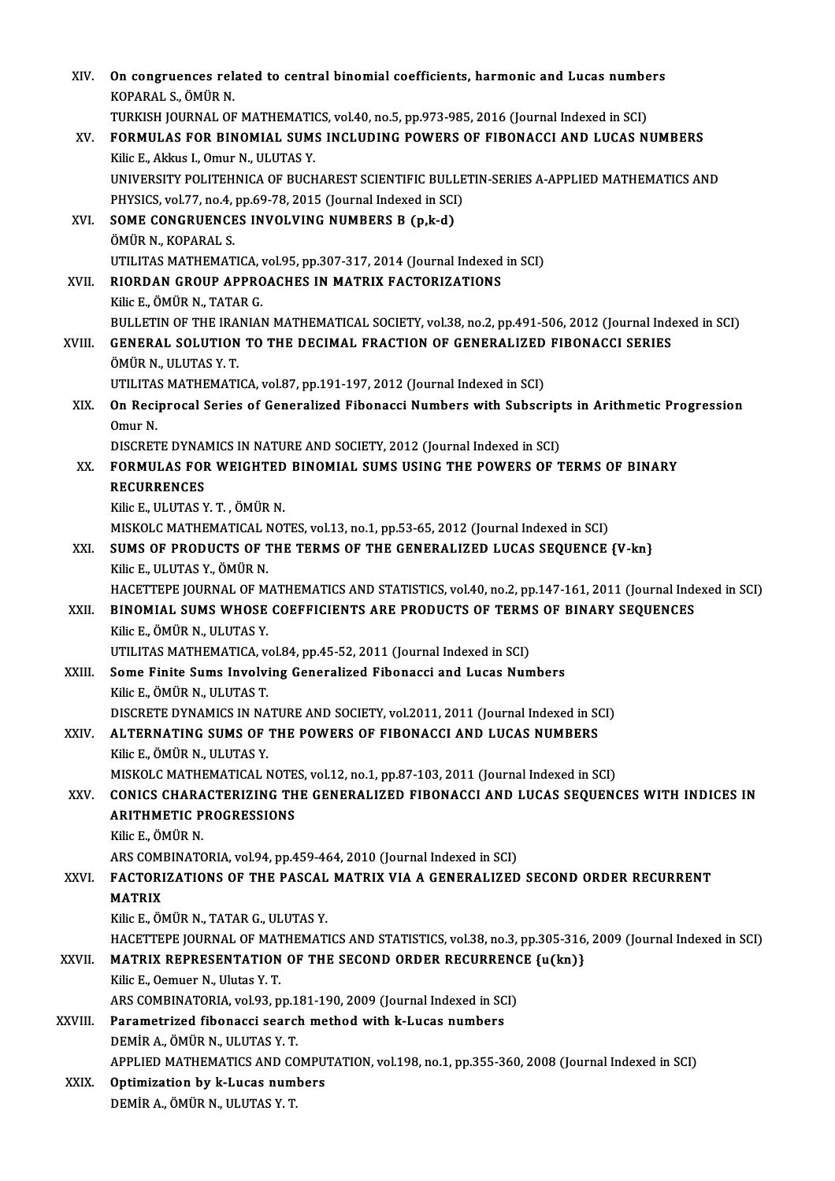| XIV.    | On congruences related to central binomial coefficients, harmonic and Lucas numbers<br>KOPARAL S., ÖMÜR N.                                                                |
|---------|---------------------------------------------------------------------------------------------------------------------------------------------------------------------------|
|         | TURKISH JOURNAL OF MATHEMATICS, vol.40, no.5, pp.973-985, 2016 (Journal Indexed in SCI)                                                                                   |
| XV.     | FORMULAS FOR BINOMIAL SUMS INCLUDING POWERS OF FIBONACCI AND LUCAS NUMBERS                                                                                                |
|         | Kilic E., Akkus I., Omur N., ULUTAS Y.                                                                                                                                    |
|         | UNIVERSITY POLITEHNICA OF BUCHAREST SCIENTIFIC BULLETIN-SERIES A-APPLIED MATHEMATICS AND                                                                                  |
|         | PHYSICS, vol.77, no.4, pp.69-78, 2015 (Journal Indexed in SCI)                                                                                                            |
| XVI.    | SOME CONGRUENCES INVOLVING NUMBERS B (p,k-d)                                                                                                                              |
|         | ÖMÜR N., KOPARAL S.                                                                                                                                                       |
|         | UTILITAS MATHEMATICA, vol.95, pp.307-317, 2014 (Journal Indexed in SCI)                                                                                                   |
| XVII.   | RIORDAN GROUP APPROACHES IN MATRIX FACTORIZATIONS                                                                                                                         |
|         | Kilic E., ÖMÜR N., TATAR G.                                                                                                                                               |
|         | BULLETIN OF THE IRANIAN MATHEMATICAL SOCIETY, vol.38, no.2, pp.491-506, 2012 (Journal Indexed in SCI)                                                                     |
| XVIII.  | <b>GENERAL SOLUTION TO THE DECIMAL FRACTION OF GENERALIZED FIBONACCI SERIES</b>                                                                                           |
|         | ÖMÜR N., ULUTAS Y.T.                                                                                                                                                      |
|         | UTILITAS MATHEMATICA, vol.87, pp.191-197, 2012 (Journal Indexed in SCI)                                                                                                   |
| XIX.    | On Reciprocal Series of Generalized Fibonacci Numbers with Subscripts in Arithmetic Progression                                                                           |
|         | Omur N.<br>DISCRETE DYNAMICS IN NATURE AND SOCIETY, 2012 (Journal Indexed in SCI)                                                                                         |
| XX.     | FORMULAS FOR WEIGHTED BINOMIAL SUMS USING THE POWERS OF TERMS OF BINARY                                                                                                   |
|         | <b>RECURRENCES</b>                                                                                                                                                        |
|         | Kilic E., ULUTAS Y. T., ÖMÜR N.                                                                                                                                           |
|         | MISKOLC MATHEMATICAL NOTES, vol.13, no.1, pp.53-65, 2012 (Journal Indexed in SCI)                                                                                         |
| XXI.    | SUMS OF PRODUCTS OF THE TERMS OF THE GENERALIZED LUCAS SEQUENCE {V-kn}                                                                                                    |
|         | Kilic E., ULUTAS Y., ÖMÜR N.                                                                                                                                              |
|         | HACETTEPE JOURNAL OF MATHEMATICS AND STATISTICS, vol.40, no.2, pp.147-161, 2011 (Journal Indexed in SCI)                                                                  |
| XXII.   | BINOMIAL SUMS WHOSE COEFFICIENTS ARE PRODUCTS OF TERMS OF BINARY SEQUENCES                                                                                                |
|         | Kilic E., ÖMÜR N., ULUTAS Y.                                                                                                                                              |
|         | UTILITAS MATHEMATICA, vol.84, pp.45-52, 2011 (Journal Indexed in SCI)                                                                                                     |
| XXIII.  | Some Finite Sums Involving Generalized Fibonacci and Lucas Numbers                                                                                                        |
|         | Kilic E, ÖMÜR N, ULUTAS T.                                                                                                                                                |
|         | DISCRETE DYNAMICS IN NATURE AND SOCIETY, vol.2011, 2011 (Journal Indexed in SCI)                                                                                          |
| XXIV.   | ALTERNATING SUMS OF THE POWERS OF FIBONACCI AND LUCAS NUMBERS                                                                                                             |
|         | Kilic E., ÖMÜR N., ULUTAS Y.                                                                                                                                              |
| XXV.    | MISKOLC MATHEMATICAL NOTES, vol.12, no.1, pp.87-103, 2011 (Journal Indexed in SCI)<br>CONICS CHARACTERIZING THE GENERALIZED FIBONACCI AND LUCAS SEQUENCES WITH INDICES IN |
|         | <b>ARITHMETIC PROGRESSIONS</b>                                                                                                                                            |
|         | Kilic E, ÖMÜR N.                                                                                                                                                          |
|         | ARS COMBINATORIA, vol.94, pp.459-464, 2010 (Journal Indexed in SCI)                                                                                                       |
| XXVI.   | FACTORIZATIONS OF THE PASCAL MATRIX VIA A GENERALIZED SECOND ORDER RECURRENT                                                                                              |
|         | <b>MATRIX</b>                                                                                                                                                             |
|         | Kilic E., ÖMÜR N., TATAR G., ULUTAS Y.                                                                                                                                    |
|         | HACETTEPE JOURNAL OF MATHEMATICS AND STATISTICS, vol.38, no.3, pp.305-316, 2009 (Journal Indexed in SCI)                                                                  |
| XXVII.  | MATRIX REPRESENTATION OF THE SECOND ORDER RECURRENCE {u(kn)}                                                                                                              |
|         | Kilic E., Oemuer N., Ulutas Y.T.                                                                                                                                          |
|         | ARS COMBINATORIA, vol 93, pp.181-190, 2009 (Journal Indexed in SCI)                                                                                                       |
| XXVIII. | Parametrized fibonacci search method with k-Lucas numbers                                                                                                                 |
|         | DEMİR A., ÖMÜR N., ULUTAS Y.T.                                                                                                                                            |
|         | APPLIED MATHEMATICS AND COMPUTATION, vol.198, no.1, pp.355-360, 2008 (Journal Indexed in SCI)                                                                             |
| XXIX.   | Optimization by k-Lucas numbers                                                                                                                                           |
|         | DEMİR A., ÖMÜR N., ULUTAS Y.T.                                                                                                                                            |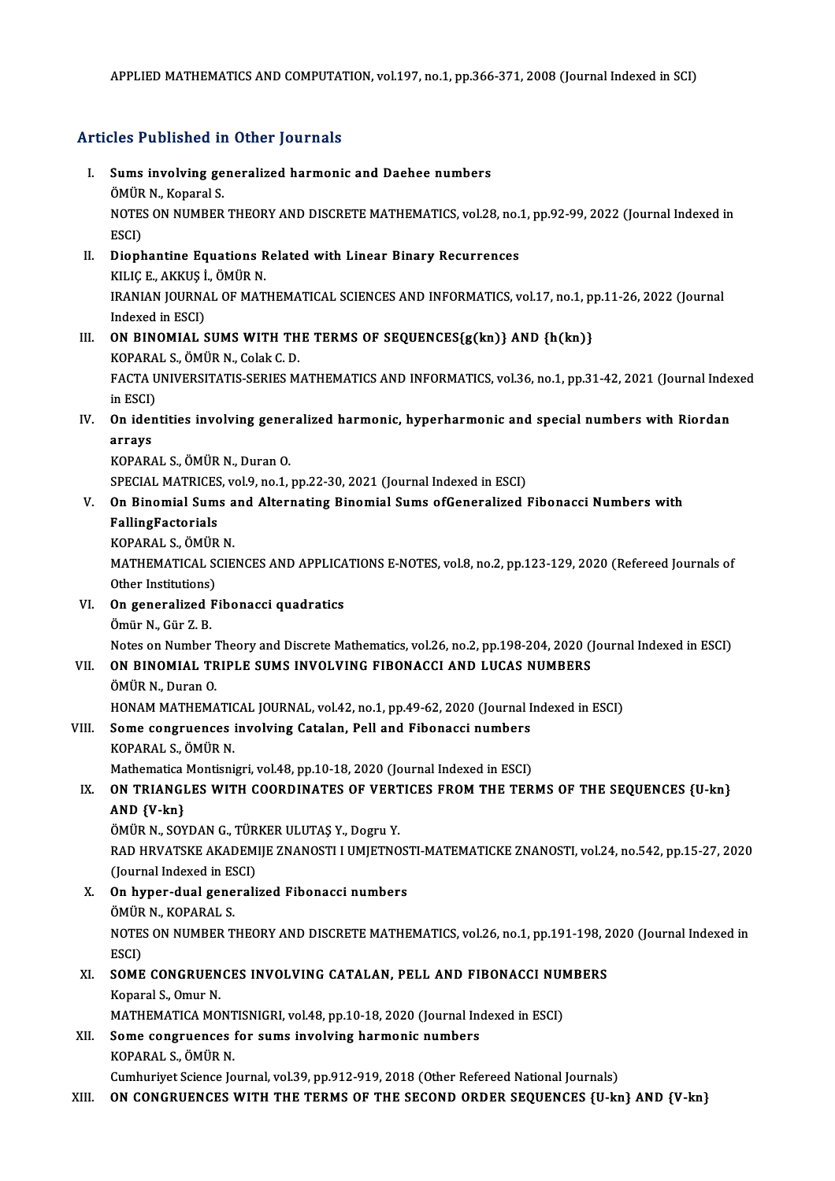#### Articles Published in Other Journals

rticles Published in Other Journals<br>I. Sums involving generalized harmonic and Daehee numbers<br>ÖMÜP N. Konarel S SUMS involving ge<br>Sums involving ge<br>ÖMÜR N., Koparal S.<br>NOTES ON NUMPER Sums involving generalized harmonic and Daehee numbers<br>ÖMÜR N., Koparal S.<br>NOTES ON NUMBER THEORY AND DISCRETE MATHEMATICS, vol.28, no.1, pp.92-99, 2022 (Journal Indexed in<br>ESCD ÖMÜR<br>NOTE:<br>ESCI)<br>Dienh NOTES ON NUMBER THEORY AND DISCRETE MATHEMATICS, vol.28, no.<br>ESCI)<br>II. Diophantine Equations Related with Linear Binary Recurrences<br>VILICE AVVIS LÖMÜRN ESCI)<br>II. Diophantine Equations Related with Linear Binary Recurrences<br>KILIÇ E., AKKUŞ İ., ÖMÜR N. Diophantine Equations Related with Linear Binary Recurrences<br>KILIÇ E., AKKUŞ İ., ÖMÜR N.<br>IRANIAN JOURNAL OF MATHEMATICAL SCIENCES AND INFORMATICS, vol.17, no.1, pp.11-26, 2022 (Journal<br>Indeved in ESCL) KILIÇ E., AKKUŞ İ<br>IRANIAN JOURNA<br>Indexed in ESCI)<br>ON PINOMIAL S IRANIAN JOURNAL OF MATHEMATICAL SCIENCES AND INFORMATICS, vol.17, no.1, p<br>Indexed in ESCI)<br>III. ON BINOMIAL SUMS WITH THE TERMS OF SEQUENCES{g(kn)} AND {h(kn)}<br>KORARAL S. ÖMÜR N. Colak C. D. Indexed in ESCI)<br>**ON BINOMIAL SUMS WITH TH<br>KOPARAL S., ÖMÜR N., Colak C. D.**<br>FACTA UNIVERSITATIS SEDIES M ON BINOMIAL SUMS WITH THE TERMS OF SEQUENCES{g(kn)} AND {h(kn)}<br>KOPARAL S., ÖMÜR N., Colak C. D.<br>FACTA UNIVERSITATIS-SERIES MATHEMATICS AND INFORMATICS, vol.36, no.1, pp.31-42, 2021 (Journal Indexed<br>in ESCD KOPARA<br>FACTA U<br>in ESCI)<br>On idan FACTA UNIVERSITATIS-SERIES MATHEMATICS AND INFORMATICS, vol.36, no.1, pp.31-42, 2021 (Journal Inde<br>in ESCI)<br>IV. On identities involving generalized harmonic, hyperharmonic and special numbers with Riordan<br>annous in ESCI)<br>On ider<br>arrays<br>KODAD/ On identities involving gener<br>arrays<br>KOPARAL S., ÖMÜR N., Duran O.<br>SPECIAL MATPICES vol 9 no 1 . arrays<br>KOPARAL S., ÖMÜR N., Duran O.<br>SPECIAL MATRICES, vol.9, no.1, pp.22-30, 2021 (Journal Indexed in ESCI)<br>On Binomial Sums and Alternating Binomial Sums of Conoralized l KOPARAL S., ÖMÜR N., Duran O.<br>SPECIAL MATRICES, vol.9, no.1, pp.22-30, 2021 (Journal Indexed in ESCI)<br>V. On Binomial Sums and Alternating Binomial Sums ofGeneralized Fibonacci Numbers with<br>FallingFactorials SPECIAL MATRICES<br>On Binomial Sum<br>FallingFactorials<br>KORARAL S. ÖMÜP On Binomial Sums a<br>FallingFactorials<br>KOPARAL S., ÖMÜR N.<br>MATUEMATICAL SCIE FallingFactorials<br>KOPARAL S., ÖMÜR N.<br>MATHEMATICAL SCIENCES AND APPLICATIONS E-NOTES, vol.8, no.2, pp.123-129, 2020 (Refereed Journals of KOPARAL S., ÖMÜR<br>MATHEMATICAL SO<br>Other Institutions)<br>On generalized E MATHEMATICAL SCIENCES AND APPLICA<br>Other Institutions)<br>VI. On generalized Fibonacci quadratics<br>Ömün N. Cün Z. P. Other Institutions)<br>**On generalized l<br>Ömür N., Gür Z.B.**<br>Natas on Number Ömür N., Gür Z. B.<br>Notes on Number Theory and Discrete Mathematics, vol.26, no.2, pp.198-204, 2020 (Journal Indexed in ESCI) Ömür N., Gür Z. B.<br>Notes on Number Theory and Discrete Mathematics, vol.26, no.2, pp.198-204, 2020 ()<br>VII. **ON BINOMIAL TRIPLE SUMS INVOLVING FIBONACCI AND LUCAS NUMBERS** Notes on Number 7<br>**ON BINOMIAL TR<br>ÖMÜR N., Duran O.<br>HONAM MATHEMA** ON BINOMIAL TRIPLE SUMS INVOLVING FIBONACCI AND LUCAS NUMBERS<br>ÖMÜR N., Duran O.<br>HONAM MATHEMATICAL JOURNAL, vol.42, no.1, pp.49-62, 2020 (Journal Indexed in ESCI)<br>Some congruences involving Catalon, Boll and Eibonessi numb ÖMÜR N., Duran O.<br>HONAM MATHEMATICAL JOURNAL, vol.42, no.1, pp.49-62, 2020 (Journal I<br>VIII. Some congruences involving Catalan, Pell and Fibonacci numbers<br>KOPARAL S.. ÖMÜR N. HONAM MATHEMATICAL JOURNAL, vol.42, no.1, pp.49-62, 2020 (Journal Indexed in ESCI) Some congruences involving Catalan, Pell and Fibonacci numbers<br>KOPARAL S., ÖMÜR N.<br>Mathematica Montisnigri, vol.48, pp.10-18, 2020 (Journal Indexed in ESCI)<br>ON TRIANCLES WITH COORDINATES OF VERTICES FROM THE TER KOPARAL S., ÖMÜR N.<br>Mathematica Montisnigri, vol.48, pp.10-18, 2020 (Journal Indexed in ESCI)<br>IX. ON TRIANGLES WITH COORDINATES OF VERTICES FROM THE TERMS OF THE SEQUENCES {U-kn} Mathematica<br>ON TRIANGI<br>AND {V-kn}<br>ÖMÜP N SOV ON TRIANGLES WITH COORDINATES OF VERT<br>AND {V-kn}<br>ÖMÜR N., SOYDAN G., TÜRKER ULUTAŞ Y., Dogru Y.<br>BAD HPVATSKE AKADEMIE ZNANOSTI LIMIETNO AND {V-kn}<br>ÖMÜR N., SOYDAN G., TÜRKER ULUTAŞ Y., Dogru Y.<br>RAD HRVATSKE AKADEMIJE ZNANOSTI I UMJETNOSTI-MATEMATICKE ZNANOSTI, vol.24, no.542, pp.15-27, 2020<br>(Jaurnal Indoved in ESCI) ÖMÜR N., SOYDAN G., TÜR<br>RAD HRVATSKE AKADEM<br>(Journal Indexed in ESCI)<br>On buner duel generali RAD HRVATSKE AKADEMIJE ZNANOSTI I UMJETNOS<br>(Journal Indexed in ESCI)<br>X. On hyper-dual generalized Fibonacci numbers<br>ÖMÜB N. KOBARAL S. (Journal Indexed in ESCI)<br>
X. On hyper-dual generalized Fibonacci numbers NOTES ON NUMBER THEORY AND DISCRETE MATHEMATICS, vol.26, no.1, pp.191-198, 2020 (Journal Indexed in ESCI) ÖMÜR N., KOPARAL S. NOTES ON NUMBER THEORY AND DISCRETE MATHEMATICS, vol.26, no.1, pp.191-198, 2<br>ESCI)<br>XI. SOME CONGRUENCES INVOLVING CATALAN, PELL AND FIBONACCI NUMBERS<br>Kongral S. Omur N ESCI)<br>S<mark>OME CONGRUEN</mark><br>Koparal S., Omur N.<br>MATUEMATICA MO SOME CONGRUENCES INVOLVING CATALAN, PELL AND FIBONACCI NUM<br>Koparal S., Omur N.<br>MATHEMATICA MONTISNIGRI, vol.48, pp.10-18, 2020 (Journal Indexed in ESCI)<br>Some conguyances for sume involving barmonis numbors Koparal S., Omur N.<br>MATHEMATICA MONTISNIGRI, vol.48, pp.10-18, 2020 (Journal In<br>XII. Some congruences for sums involving harmonic numbers<br>KOPARAL S., ÖMÜR N. MATHEMATICA MONTISNIGRI, vol.48, pp.10-18, 2020 (Journal Indexed in ESCI) Cumhuriyet Science Journal, vol.39, pp.912-919, 2018 (Other Refereed National Journals) XIII. ON CONGRUENCES WITH THE TERMS OF THE SECOND ORDER SEQUENCES {U-kn} AND {V-kn}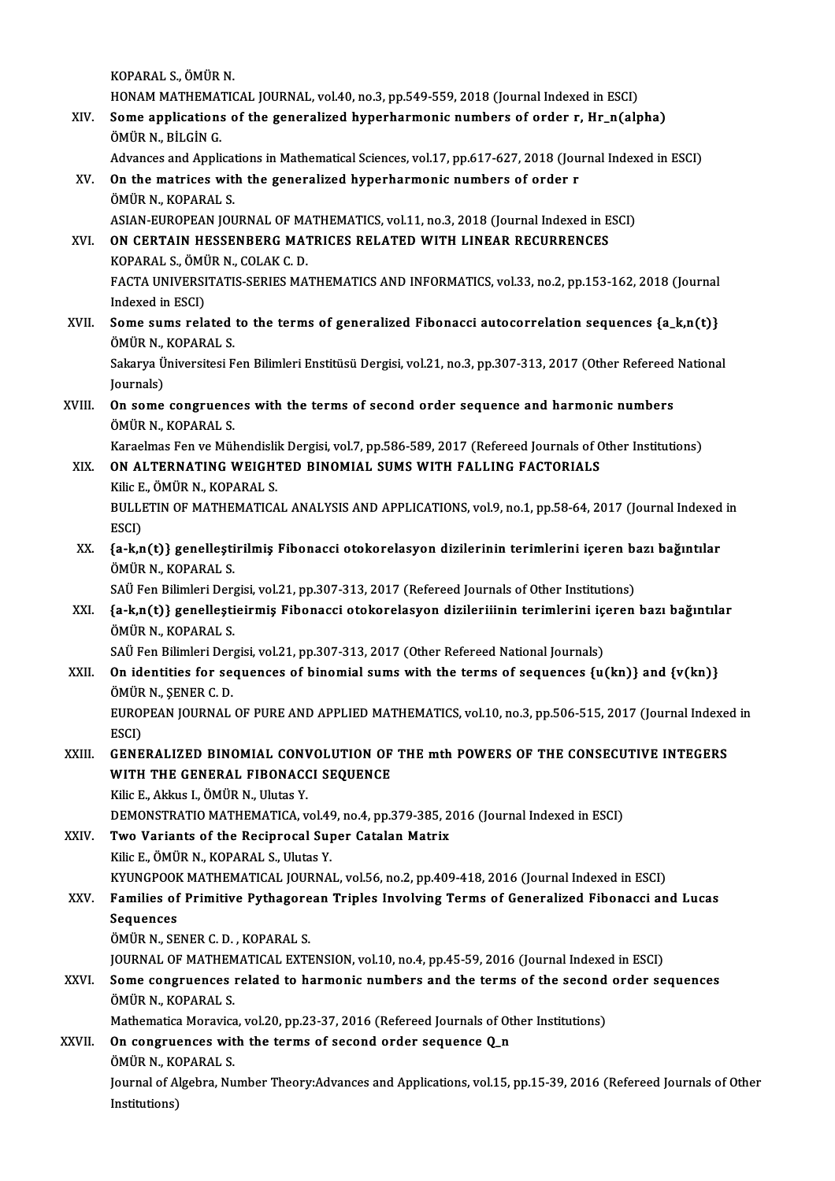KOPARAL S.,ÖMÜRN. KOPARAL S., ÖMÜR N.<br>HONAM MATHEMATICAL JOURNAL, vol.40, no.3, pp.549-559, 2018 (Journal Indexed in ESCI)<br>Seme applications of the generalized bynerharmenis numbers of ender r. Hr. p(alp KOPARAL S., ÖMÜR N.<br>HONAM MATHEMATICAL JOURNAL, vol.40, no.3, pp.549-559, 2018 (Journal Indexed in ESCI)<br>XIV. Some applications of the generalized hyperharmonic numbers of order r, Hr\_n(alpha)<br>ÖMÜP N, BU CİN C HONAM MATHEMAT<br>Some applications<br>ÖMÜR N., BİLGİN G.<br>Advances and Annli XIV. Some applications of the generalized hyperharmonic numbers of order r,  $\text{Hr}_n(\text{alpha})$ <br>ÖMÜR N., BİLGİN G. XV. On the matrices with the generalized hyperharmonic numbers of order r ÖMÜR N., KOPARAL S. Advances and Applications in Mathematical Sciences, vol.17, pp.617-627, 2018 (Journal Indexed in ESCI) ASIAN-EUROPEAN JOURNAL OF MATHEMATICS, vol.11, no.3, 2018 (Journal Indexed in ESCI) ÖMÜR N., KOPARAL S.<br>ASIAN-EUROPEAN JOURNAL OF MATHEMATICS, vol.11, no.3, 2018 (Journal Indexed in E<br>XVI. ON CERTAIN HESSENBERG MATRICES RELATED WITH LINEAR RECURRENCES<br>KOPARAL S. ÖMÜR N. COLAK C. D. ASIAN-EUROPEAN JOURNAL OF MAN<br>**ON CERTAIN HESSENBERG MAT**<br>KOPARAL S., ÖMÜR N., COLAK C. D.<br>EACTA UNIVERSITATIS SERIES MA FACTA UNIVERSITATIS-SERIES MATHEMATICS AND INFORMATICS, vol.33, no.2, pp.153-162, 2018 (Journal Indexed in ESCI) KOPARAL S., ÖMÜR N., COLAK C. D. FACTA UNIVERSITATIS-SERIES MATHEMATICS AND INFORMATICS, vol.33, no.2, pp.153-162, 2018 (Journal<br>Indexed in ESCI)<br>XVII. Some sums related to the terms of generalized Fibonacci autocorrelation sequences {a\_k,n(t)}<br>ÖMÜR N, KO Indexed in ESCI)<br>**Some sums related**<br>ÖMÜR N., KOPARAL S.<br>Selerue Üniversitesi E Some sums related to the terms of generalized Fibonacci autocorrelation sequences {a\_k,n(t)}<br>ÖMÜR N., KOPARAL S.<br>Sakarya Üniversitesi Fen Bilimleri Enstitüsü Dergisi, vol.21, no.3, pp.307-313, 2017 (Other Refereed National ÖMÜR N.,<br>Sakarya Ü<br>Journals)<br>On sama Sakarya Üniversitesi Fen Bilimleri Enstitüsü Dergisi, vol.21, no.3, pp.307-313, 2017 (Other Refereed<br>Journals)<br>XVIII. On some congruences with the terms of second order sequence and harmonic numbers<br>ÖMÜR N. KORARALS Journals)<br>**On some congruenc<br>ÖMÜR N., KOPARAL S.<br>Koroslmes Fen ve Möl** On some congruences with the terms of second order sequence and harmonic numbers<br>ÖMÜR N., KOPARAL S.<br>Karaelmas Fen ve Mühendislik Dergisi, vol.7, pp.586-589, 2017 (Refereed Journals of Other Institutions)<br>ON ALTERNATING WE ÖMÜR N., KOPARAL S.<br>Karaelmas Fen ve Mühendislik Dergisi, vol.7, pp.586-589, 2017 (Refereed Journals of C<br>XIX. ON ALTERNATING WEIGHTED BINOMIAL SUMS WITH FALLING FACTORIALS<br>Kilia E. ÖMÜR N. KORARAL S. Karaelmas Fen ve Mühendisli<br>ON ALTERNATING WEIGHT<br>Kilic E., ÖMÜR N., KOPARAL S.<br>PULLETIN OF MATHEMATICA XIX. ON ALTERNATING WEIGHTED BINOMIAL SUMS WITH FALLING FACTORIALS<br>Kilic E., ÖMÜR N., KOPARAL S.<br>BULLETIN OF MATHEMATICAL ANALYSIS AND APPLICATIONS, vol.9, no.1, pp.58-64, 2017 (Journal Indexed in<br>ESCI) Kilic E. ÖMÜR N. KOPARAL S. BULLETIN OF MATHEMATICAL ANALYSIS AND APPLICATIONS, vol.9, no.1, pp.58-64, 2017 (Journal Indexed<br>ESCI)<br>XX. {a-k,n(t)} genelleştirilmiş Fibonacci otokorelasyon dizilerinin terimlerini içeren bazı bağıntılar<br>ÖMÜP N. KORARAL ESCI)<br>{a-k,n(t)} genelleşti<br>ÖMÜR N., KOPARAL S.<br>SAÜ Een Bilimleri Der {a-k,n(t)} genelleştirilmiş Fibonacci otokorelasyon dizilerinin terimlerini içeren ba<br>ÖMÜR N., KOPARAL S.<br>SAÜ Fen Bilimleri Dergisi, vol.21, pp.307-313, 2017 (Refereed Journals of Other Institutions)<br>(a k n(t)) genellestie ÖMÜR N., KOPARAL S.<br>SAÜ Fen Bilimleri Dergisi, vol.21, pp.307-313, 2017 (Refereed Journals of Other Institutions)<br>XXI. {a-k,n(t)} genelleştieirmiş Fibonacci otokorelasyon dizileriiinin terimlerini içeren bazı bağıntılar<br>ÖM SAÜ Fen Bilimleri Dergisi, vol.21, pp.307-313, 2017 (Refereed Journals of Other Institutions) {a-k,n(t)} genelleştieirmiş Fibonacci otokorelasyon dizileriiinin terimlerini iç<br>ÖMÜR N., KOPARAL S.<br>SAÜ Fen Bilimleri Dergisi, vol.21, pp.307-313, 2017 (Other Refereed National Journals)<br>On identities for sequences of bin XXII. On identities for sequences of binomial sums with the terms of sequences  $\{u(kn)\}$  and  $\{v(kn)\}$ <br>ÖMÜR N., SENER C. D. SAÜ Fen Bilimleri Der<br>**On identities for se<br>ÖMÜR N., ŞENER C. D.<br>EUROPEAN IQUPNAL** On identities for sequences of binomial sums with the terms of sequences {u(kn)} and {v(kn)}<br>ÖMÜR N., ŞENER C. D.<br>EUROPEAN JOURNAL OF PURE AND APPLIED MATHEMATICS, vol.10, no.3, pp.506-515, 2017 (Journal Indexed in<br>ESCD ÖMÜR<br>EUROI<br>ESCI)<br>CENE EUROPEAN JOURNAL OF PURE AND APPLIED MATHEMATICS, vol.10, no.3, pp.506-515, 2017 (Journal Indexed<br>ESCI)<br>XXIII. GENERALIZED BINOMIAL CONVOLUTION OF THE mth POWERS OF THE CONSECUTIVE INTEGERS ESCI)<br>XXIII. GENERALIZED BINOMIAL CONVOLUTION OF THE mth POWERS OF THE CONSECUTIVE INTEGERS<br>WITH THE GENERAL FIBONACCI SEQUENCE<br>Kilic E.. Akkus I.. ÖMÜR N.. Ulutas Y. WITH THE GENERAL FIBONACCI SEQUENCE DEMONSTRATIO MATHEMATICA, vol.49, no.4, pp.379-385, 2016 (Journal Indexed in ESCI) Kilic E., Akkus I., ÖMÜR N., Ulutas Y.<br>DEMONSTRATIO MATHEMATICA, vol.49, no.4, pp.379-385, 2<br>XXIV. Two Variants of the Reciprocal Super Catalan Matrix<br>Vilic E. ÖMÜR N. KORARAL S. Hlutes V. DEMONSTRATIO MATHEMATICA, vol.49<br>Two Variants of the Reciprocal Sup<br>Kilic E., ÖMÜR N., KOPARAL S., Ulutas Y.<br>KYUNCPOOK MATHEMATICAL JOUPNA. Kilic E., ÖMÜR N., KOPARAL S., Ulutas Y.<br>KYUNGPOOK MATHEMATICAL JOURNAL, vol.56, no.2, pp.409-418, 2016 (Journal Indexed in ESCI) Kilic E., ÖMÜR N., KOPARAL S., Ulutas Y.<br>KYUNGPOOK MATHEMATICAL JOURNAL, vol.56, no.2, pp.409-418, 2016 (Journal Indexed in ESCI)<br>XXV. Families of Primitive Pythagorean Triples Involving Terms of Generalized Fibonacci KYUNGPOOF<br>Families of<br>Sequences<br>ÖMÜP N-SE Families of Primitive Pythagore<br>Sequences<br>ÖMÜR N., SENER C. D. , KOPARAL S.<br>JOUPNAL OF MATHEMATICAL EVTE Sequences<br>ÖMÜR N., SENER C. D. , KOPARAL S.<br>JOURNAL OF MATHEMATICAL EXTENSION, vol.10, no.4, pp.45-59, 2016 (Journal Indexed in ESCI)<br>Some conguyences related to bermonis numbers and the terms of the sessed ender so ÖMÜR N., SENER C. D. , KOPARAL S.<br>JOURNAL OF MATHEMATICAL EXTENSION, vol.10, no.4, pp.45-59, 2016 (Journal Indexed in ESCI)<br>XXVI. Some congruences related to harmonic numbers and the terms of the second order sequences<br>ÖMÜ **JOURNAL OF MATHEM<br>Some congruences<br>ÖMÜR N., KOPARAL S.<br>Mathematice Merevice** Some congruences related to harmonic numbers and the terms of the second<br>ÖMÜR N., KOPARAL S.<br>Mathematica Moravica, vol.20, pp.23-37, 2016 (Refereed Journals of Other Institutions)<br>On congruences with the terms of second or ÖMÜR N., KOPARAL S.<br>Mathematica Moravica, vol.20, pp.23-37, 2016 (Refereed Journals of Ot<br>XXVII. On congruences with the terms of second order sequence Q\_n<br>ÖMÜR N. KORARAL S. Mathematica Moravica<br>**On congruences wit**<br>ÖMÜR N., KOPARAL S.<br>Journal of Alsohne Nu On congruences with the terms of second order sequence Q\_n<br>ÖMÜR N., KOPARAL S.<br>Journal of Algebra, Number Theory:Advances and Applications, vol.15, pp.15-39, 2016 (Refereed Journals of Other<br>Institutions) ÖMÜR N., KC<br>Journal of A<br>Institutions)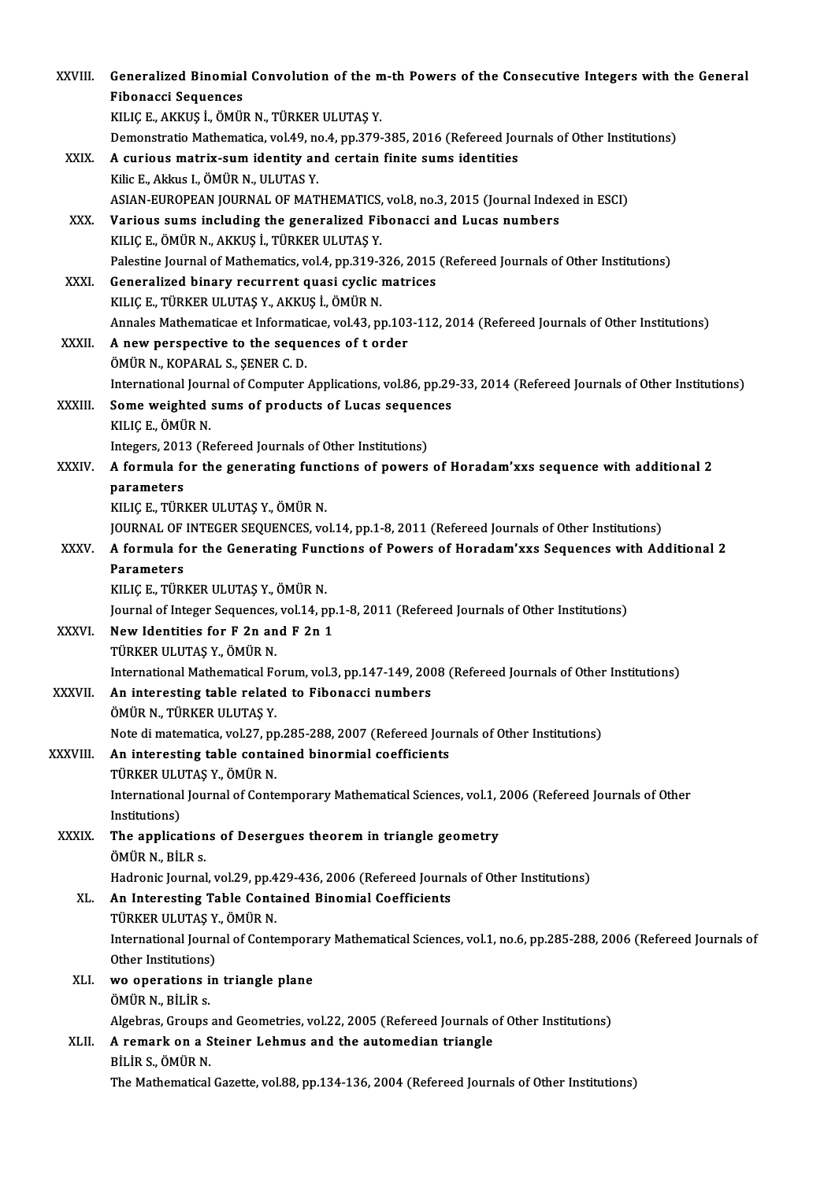| XXVIII.      | Generalized Binomial Convolution of the m-th Powers of the Consecutive Integers with the General<br><b>Fibonacci Sequences</b>                      |
|--------------|-----------------------------------------------------------------------------------------------------------------------------------------------------|
|              | KILIÇ E., AKKUŞ İ., ÖMÜR N., TÜRKER ULUTAŞ Y.<br>Demonstratio Mathematica, vol.49, no.4, pp.379-385, 2016 (Refereed Journals of Other Institutions) |
| XXIX.        | A curious matrix-sum identity and certain finite sums identities                                                                                    |
|              | Kilic E., Akkus I., ÖMÜR N., ULUTAS Y.                                                                                                              |
|              | ASIAN-EUROPEAN JOURNAL OF MATHEMATICS, vol.8, no.3, 2015 (Journal Indexed in ESCI)                                                                  |
| XXX.         | Various sums including the generalized Fibonacci and Lucas numbers                                                                                  |
|              | KILIÇ E, ÖMÜR N, AKKUŞ İ, TÜRKER ULUTAŞ Y.                                                                                                          |
|              | Palestine Journal of Mathematics, vol.4, pp.319-326, 2015 (Refereed Journals of Other Institutions)                                                 |
| XXXI.        | Generalized binary recurrent quasi cyclic matrices                                                                                                  |
|              | KILIÇ E, TÜRKER ULUTAŞ Y., AKKUŞ İ., ÖMÜR N.                                                                                                        |
|              | Annales Mathematicae et Informaticae, vol.43, pp.103-112, 2014 (Refereed Journals of Other Institutions)                                            |
| <b>XXXII</b> | A new perspective to the sequences of t order                                                                                                       |
|              | ÖMÜR N., KOPARAL S., ŞENER C. D.                                                                                                                    |
|              | International Journal of Computer Applications, vol.86, pp.29-33, 2014 (Refereed Journals of Other Institutions)                                    |
| XXXIII.      | Some weighted sums of products of Lucas sequences                                                                                                   |
|              | KILIÇ E , ÖMÜR N                                                                                                                                    |
|              | Integers, 2013 (Refereed Journals of Other Institutions)                                                                                            |
| XXXIV.       | A formula for the generating functions of powers of Horadam'xxs sequence with additional 2                                                          |
|              | parameters                                                                                                                                          |
|              | KILIÇ E., TÜRKER ULUTAŞ Y., ÖMÜR N.<br>JOURNAL OF INTEGER SEQUENCES, vol.14, pp.1-8, 2011 (Refereed Journals of Other Institutions)                 |
| XXXV.        | A formula for the Generating Functions of Powers of Horadam'xxs Sequences with Additional 2                                                         |
|              | <b>Parameters</b>                                                                                                                                   |
|              | KILIÇ E, TÜRKER ULUTAŞ Y, ÖMÜR N.                                                                                                                   |
|              | Journal of Integer Sequences, vol.14, pp.1-8, 2011 (Refereed Journals of Other Institutions)                                                        |
| <b>XXXVI</b> | New Identities for F 2n and F 2n 1                                                                                                                  |
|              | TÜRKER ULUTAŞ Y., ÖMÜR N.                                                                                                                           |
|              | International Mathematical Forum, vol.3, pp.147-149, 2008 (Refereed Journals of Other Institutions)                                                 |
| XXXVII.      | An interesting table related to Fibonacci numbers                                                                                                   |
|              | ÖMÜR N., TÜRKER ULUTAŞ Y.                                                                                                                           |
|              | Note di matematica, vol.27, pp.285-288, 2007 (Refereed Journals of Other Institutions)                                                              |
| XXXVIII.     | An interesting table contained binormial coefficients                                                                                               |
|              | TÜRKER ULUTAŞ Y., ÖMÜR N.                                                                                                                           |
|              | International Journal of Contemporary Mathematical Sciences, vol.1, 2006 (Refereed Journals of Other                                                |
|              | Institutions)                                                                                                                                       |
| XXXIX.       | The applications of Desergues theorem in triangle geometry                                                                                          |
|              | ÖMÜR N., BİLR s.                                                                                                                                    |
|              | Hadronic Journal, vol.29, pp.429-436, 2006 (Refereed Journals of Other Institutions)                                                                |
| XL.          | An Interesting Table Contained Binomial Coefficients                                                                                                |
|              | TÜRKER ULUTAŞ Y., ÖMÜR N.                                                                                                                           |
|              | International Journal of Contemporary Mathematical Sciences, vol.1, no.6, pp.285-288, 2006 (Refereed Journals of                                    |
| XLI.         | Other Institutions)<br>wo operations in triangle plane                                                                                              |
|              | ÖMÜR N., BİLİR s.                                                                                                                                   |
|              | Algebras, Groups and Geometries, vol.22, 2005 (Refereed Journals of Other Institutions)                                                             |
| XLII.        | A remark on a Steiner Lehmus and the automedian triangle                                                                                            |
|              | BİLİR S., ÖMÜR N.                                                                                                                                   |
|              | The Mathematical Gazette, vol.88, pp.134-136, 2004 (Refereed Journals of Other Institutions)                                                        |
|              |                                                                                                                                                     |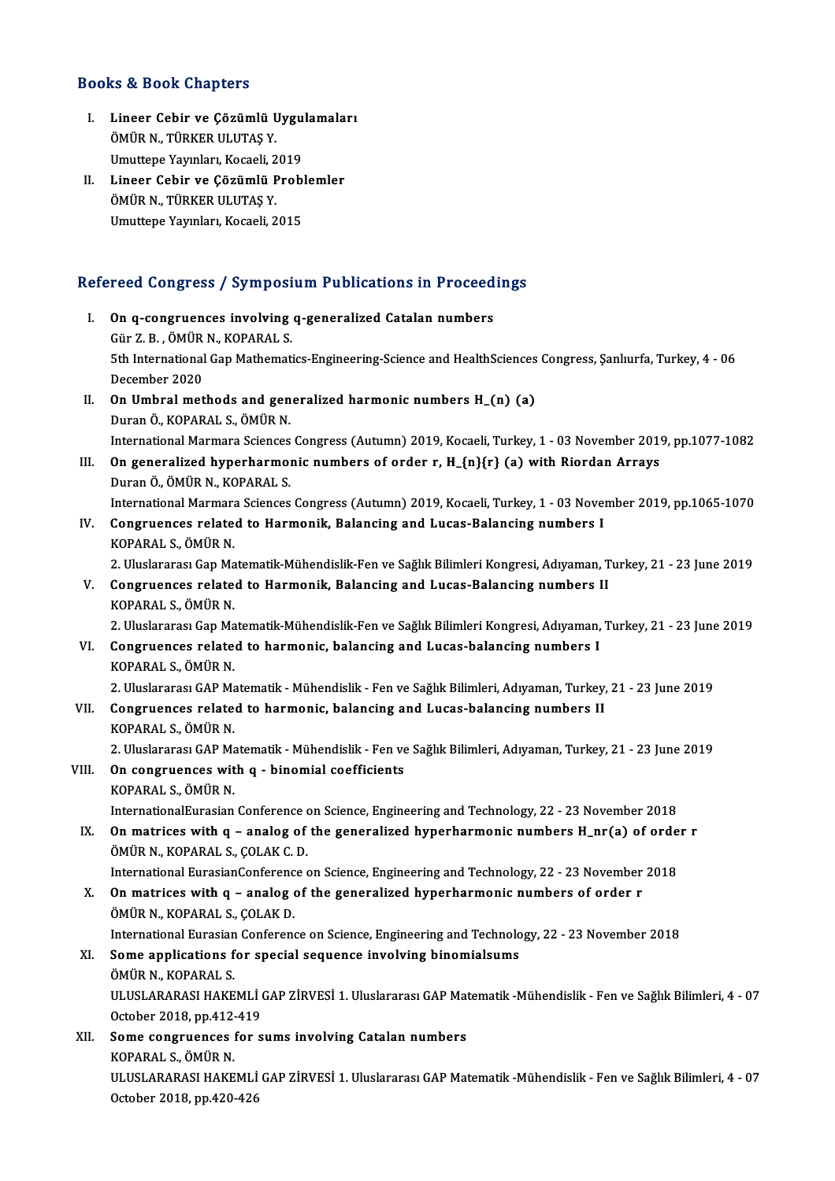#### Books&Book Chapters

- I. Lineer Cebir ve Çözümlü Uygulamaları ÖMÜR N., TÜRKER ULUTAŞ Y. Lineer Cebir ve Çözümlü Uygu<br>ÖMÜR N., TÜRKER ULUTAŞ Y.<br>Umuttepe Yayınları, Kocaeli, 2019<br>Lineer Cebir ve Çözümlü Prebl ÖMÜR N., TÜRKER ULUTAŞ Y.<br>Umuttepe Yayınları, Kocaeli, 2019<br>II. Lineer Cebir ve Çözümlü Problemler<br>ÖMÜP N. TÜRKER III IITAS Y
- Umuttepe Yayınları, Kocaeli, 2<br>Lineer Cebir ve Çözümlü F<br>ÖMÜR N., TÜRKER ULUTAŞ Y.<br>Umuttana Yayınları, Kasaali, 2 Lineer Cebir ve Çözümlü Probl<br>ÖMÜR N., TÜRKER ULUTAŞ Y.<br>Umuttepe Yayınları, Kocaeli, 2015

# omuttepe rayiniari, Kocaeli, 2015<br>Refereed Congress / Symposium Publications in Proceedings

- efereed Congress / Symposium Publications in Proceed<br>I. On q-congruences involving q-generalized Catalan numbers<br>Cür<sup>7</sup> P. ÖMÜP N. KOPARALS I. On q-congruences involving q-generalized Catalan numbers<br>Gür Z.B. ,ÖMÜR N., KOPARAL S. 0n q-congruences involving q-generalized Catalan numbers<br>Gür Z. B. , ÖMÜR N., KOPARAL S.<br>5th International Gap Mathematics-Engineering-Science and HealthSciences Congress, Şanlıurfa, Turkey, 4 - 06<br>Desember 2020 Gür Z. B. , ÖMÜR<br>5th International<br>December 2020<br>On Umbral mat Sth International Gap Mathematics-Engineering-Science and HealthSciences<br>December 2020<br>II. On Umbral methods and generalized harmonic numbers H\_(n) (a)<br>Duran Ö, KOBARALS, ÖMÜR N
- December 2020<br>II. On Umbral methods and generalized harmonic numbers H\_(n) (a)<br>Duran Ö., KOPARAL S., ÖMÜR N. InternationalMarmara SciencesCongress (Autumn) 2019,Kocaeli,Turkey,1 -03November 2019,pp.1077-1082
- III. On generalized hyperharmonic numbers of order r,  $H_{\text{-}}{n}{r}$  (a) with Riordan Arrays DuranÖ.,ÖMÜRN.,KOPARAL S.
	- International Marmara Sciences Congress (Autumn) 2019, Kocaeli, Turkey, 1 03 November 2019, pp.1065-1070
- IV. Congruences related to Harmonik, Balancing and Lucas-Balancing numbers I KOPARAL S., ÖMÜR N. 2. Uluslararası Gap Matematik-Mühendislik-Fen ve Sağlık Bilimleri Kongresi, Adıyaman, Turkey, 21 - 23 June 2019
- V. Congruences related to Harmonik, Balancing and Lucas-Balancing numbers II KOPARAL S.,ÖMÜRN.

2. Uluslararası Gap Matematik-Mühendislik-Fen ve Sağlık Bilimleri Kongresi, Adıyaman, Turkey, 21 - 23 June 2019

VI. Congruences related to harmonic, balancing and Lucas-balancing numbers I KOPARAL S., ÖMÜR N. Congruences related to harmonic, balancing and Lucas-balancing numbers I<br>KOPARAL S., ÖMÜR N.<br>2. Uluslararası GAP Matematik - Mühendislik - Fen ve Sağlık Bilimleri, Adıyaman, Turkey, 21 - 23 June 2019<br>Congruences related to

VII. Congruences related to harmonic, balancing and Lucas-balancing numbers II<br>KOPARAL S., ÖMÜR N. 2. Uluslararası GAP Ma<br>**Congruences relate**<br>KOPARAL S., ÖMÜR N.<br>2. Uluslararası CAP Me KOPARAL S., ÖMÜR N.<br>2. Uluslararası GAP Matematik - Mühendislik - Fen ve<br>VIII. On congruences with q - binomial coefficients<br><sup>VORARAL S.</sup> ÖMÜR N.

2.UluslararasıGAPMatematik-Mühendislik-Fenve SağlıkBilimleri,Adıyaman,Turkey,21 -23 June 2019

- 2. Uluslararası GAP Ma<br>**On congruences wit**<br>KOPARAL S., ÖMÜR N.<br>InternationalEurasian KOPARAL S., ÖMÜR N.<br>InternationalEurasian Conference on Science, Engineering and Technology, 22 - 23 November 2018 KOPARAL S., ÖMÜR N.<br>InternationalEurasian Conference on Science, Engineering and Technology, 22 - 23 November 2018<br>IX. On matrices with q – analog of the generalized hyperharmonic numbers H\_nr(a) of order r<br>ÖMÜR N. KORARAL
- InternationalEurasian Conference<br> **On matrices with q analog of<br>
ÖMÜR N., KOPARAL S., ÇOLAK C. D.**<br>
International Eurosian Conference c On matrices with q – analog of the generalized hyperharmonic numbers H\_nr(a) of orde<br>ÖMÜR N., KOPARAL S., ÇOLAK C. D.<br>International EurasianConference on Science, Engineering and Technology, 22 - 23 November 2018 ÖMÜR N., KOPARAL S., ÇOLAK C. D.<br>International EurasianConference on Science, Engineering and Technology, 22 - 23 November 2018<br>X. On matrices with q – analog of the generalized hyperharmonic numbers of order r

ÖMÜR N., KOPARAL S., ÇOLAK D. On matrices with q – analog of the generalized hyperharmonic numbers of order r<br>ÖMÜR N., KOPARAL S., ÇOLAK D.<br>International Eurasian Conference on Science, Engineering and Technology, 22 - 23 November 2018<br>Some annisations

## XI. Some applications for special sequence involving binomialsums International Eurasian<br>Some applications f<br>ÖMÜR N., KOPARAL S.<br>ULUSLARARASI HAKE Some applications for special sequence involving binomialsums<br>ÖMÜR N., KOPARAL S.<br>ULUSLARARASI HAKEMLİ GAP ZİRVESİ 1. Uluslararası GAP Matematik -Mühendislik - Fen ve Sağlık Bilimleri, 4 - 07<br>Ostabar 2018, pp.412,419 ÖMÜR N., KOPARAL S.<br>ULUSLARARASI HAKEMLİ (<br>October 2018, pp.412-419<br>Sama sangruangas far s ULUSLARARASI HAKEMLİ GAP ZİRVESİ 1. Uluslararası GAP Mat<br>October 2018, pp.412-419<br>XII. Some congruences for sums involving Catalan numbers<br>KOBARALS ÖMÜR N

October 2018, pp.412-<br>Some congruences<br>KOPARAL S., ÖMÜR N.<br>III IISLARARASI HAKE Some congruences for sums involving Catalan numbers<br>KOPARAL S., ÖMÜR N.<br>ULUSLARARASI HAKEMLİ GAP ZİRVESİ 1. Uluslararası GAP Matematik -Mühendislik - Fen ve Sağlık Bilimleri, 4 - 07<br>Ostabar 2018, pp.420.426 KOPARAL S., ÖMÜR N.<br>ULUSLARARASI HAKEMLİ<br>October 2018, pp.420-426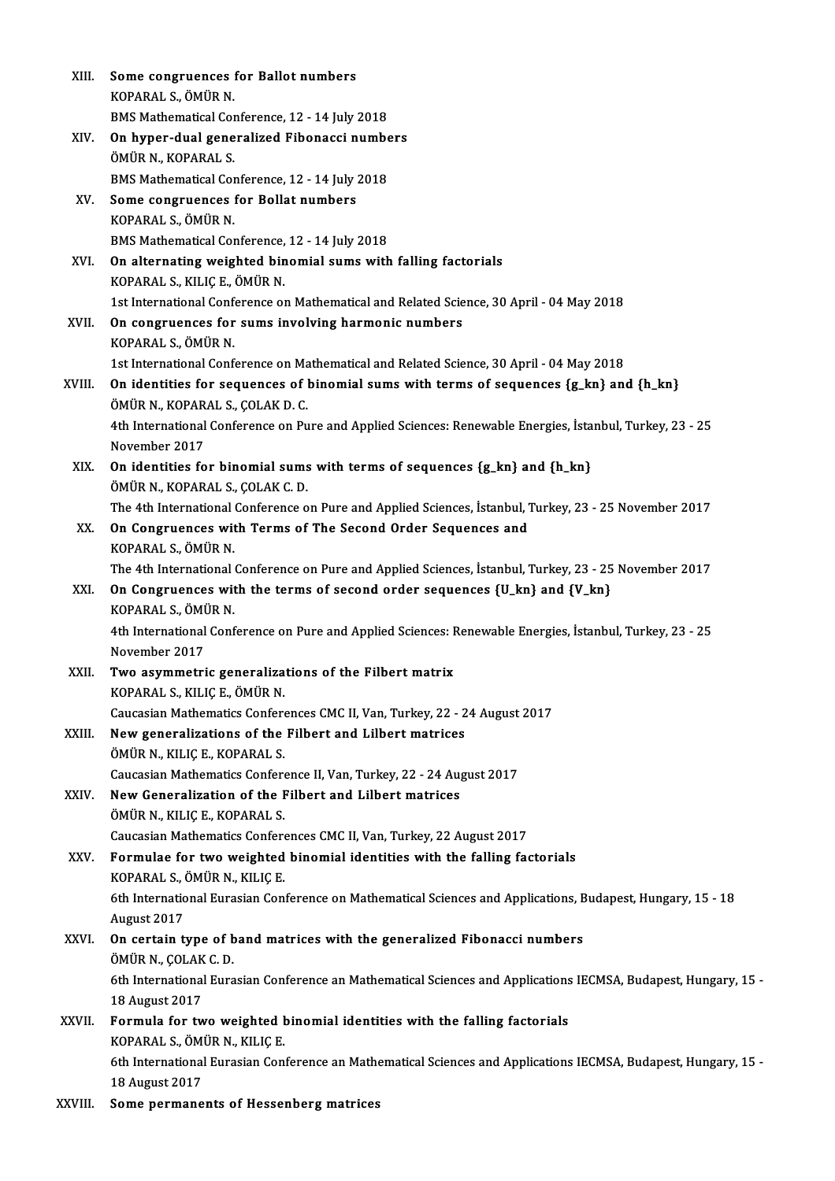| XIII.   | Some congruences for Ballot numbers                                                                                               |
|---------|-----------------------------------------------------------------------------------------------------------------------------------|
|         | KOPARAL S., ÖMÜR N.                                                                                                               |
|         | BMS Mathematical Conference, 12 - 14 July 2018                                                                                    |
| XIV.    | On hyper-dual generalized Fibonacci numbers                                                                                       |
|         | ÖMÜR N., KOPARAL S.                                                                                                               |
|         | BMS Mathematical Conference, 12 - 14 July 2018                                                                                    |
| XV.     | Some congruences for Bollat numbers                                                                                               |
|         | KOPARAL S., ÖMÜR N.                                                                                                               |
|         | BMS Mathematical Conference, 12 - 14 July 2018                                                                                    |
| XVI.    | On alternating weighted binomial sums with falling factorials                                                                     |
|         | KOPARAL S., KILIÇ E., ÖMÜR N.                                                                                                     |
|         | 1st International Conference on Mathematical and Related Science, 30 April - 04 May 2018                                          |
| XVII.   | On congruences for sums involving harmonic numbers<br>KOPARAL S., ÖMÜR N.                                                         |
|         | 1st International Conference on Mathematical and Related Science, 30 April - 04 May 2018                                          |
| XVIII.  | On identities for sequences of binomial sums with terms of sequences {g_kn} and {h_kn}                                            |
|         | ÖMÜR N., KOPARAL S., ÇOLAK D. C.                                                                                                  |
|         | 4th International Conference on Pure and Applied Sciences: Renewable Energies, İstanbul, Turkey, 23 - 25<br>November 2017         |
| XIX.    | On identities for binomial sums with terms of sequences {g_kn} and {h_kn}                                                         |
|         | ÖMÜR N., KOPARAL S., ÇOLAK C. D.                                                                                                  |
|         | The 4th International Conference on Pure and Applied Sciences, İstanbul, Turkey, 23 - 25 November 2017                            |
| XX.     | On Congruences with Terms of The Second Order Sequences and<br>KOPARAL S., ÖMÜR N.                                                |
|         | The 4th International Conference on Pure and Applied Sciences, İstanbul, Turkey, 23 - 25 November 2017                            |
| XXI.    | On Congruences with the terms of second order sequences {U_kn} and {V_kn}<br>KOPARAL S., ÖMÜR N.                                  |
|         | 4th International Conference on Pure and Applied Sciences: Renewable Energies, İstanbul, Turkey, 23 - 25                          |
|         | November 2017                                                                                                                     |
| XXII.   | Two asymmetric generalizations of the Filbert matrix                                                                              |
|         | KOPARAL S., KILIÇ E., ÖMÜR N.                                                                                                     |
|         | Caucasian Mathematics Conferences CMC II, Van, Turkey, 22 - 24 August 2017                                                        |
| XXIII.  | New generalizations of the Filbert and Lilbert matrices                                                                           |
|         | ÖMÜR N., KILIÇ E., KOPARAL S.                                                                                                     |
|         | Caucasian Mathematics Conference II, Van, Turkey, 22 - 24 August 2017                                                             |
| XXIV.   | New Generalization of the Filbert and Lilbert matrices                                                                            |
|         | ÖMÜR N., KILIÇ E., KOPARAL S.                                                                                                     |
|         | Caucasian Mathematics Conferences CMC II, Van, Turkey, 22 August 2017                                                             |
| XXV.    | Formulae for two weighted binomial identities with the falling factorials<br>KOPARAL S., ÖMÜR N., KILIÇ E.                        |
|         | 6th International Eurasian Conference on Mathematical Sciences and Applications, Budapest, Hungary, 15 - 18                       |
|         | August 2017                                                                                                                       |
| XXVI.   | On certain type of band matrices with the generalized Fibonacci numbers                                                           |
|         | ÖMÜR N., ÇOLAK C. D.                                                                                                              |
|         | 6th International Eurasian Conference an Mathematical Sciences and Applications IECMSA, Budapest, Hungary, 15 -                   |
|         | 18 August 2017                                                                                                                    |
| XXVII.  | Formula for two weighted binomial identities with the falling factorials                                                          |
|         | KOPARAL S., ÖMÜR N., KILIÇ E.                                                                                                     |
|         | 6th International Eurasian Conference an Mathematical Sciences and Applications IECMSA, Budapest, Hungary, 15 -<br>18 August 2017 |
| XXVIII. | Some permanents of Hessenberg matrices                                                                                            |
|         |                                                                                                                                   |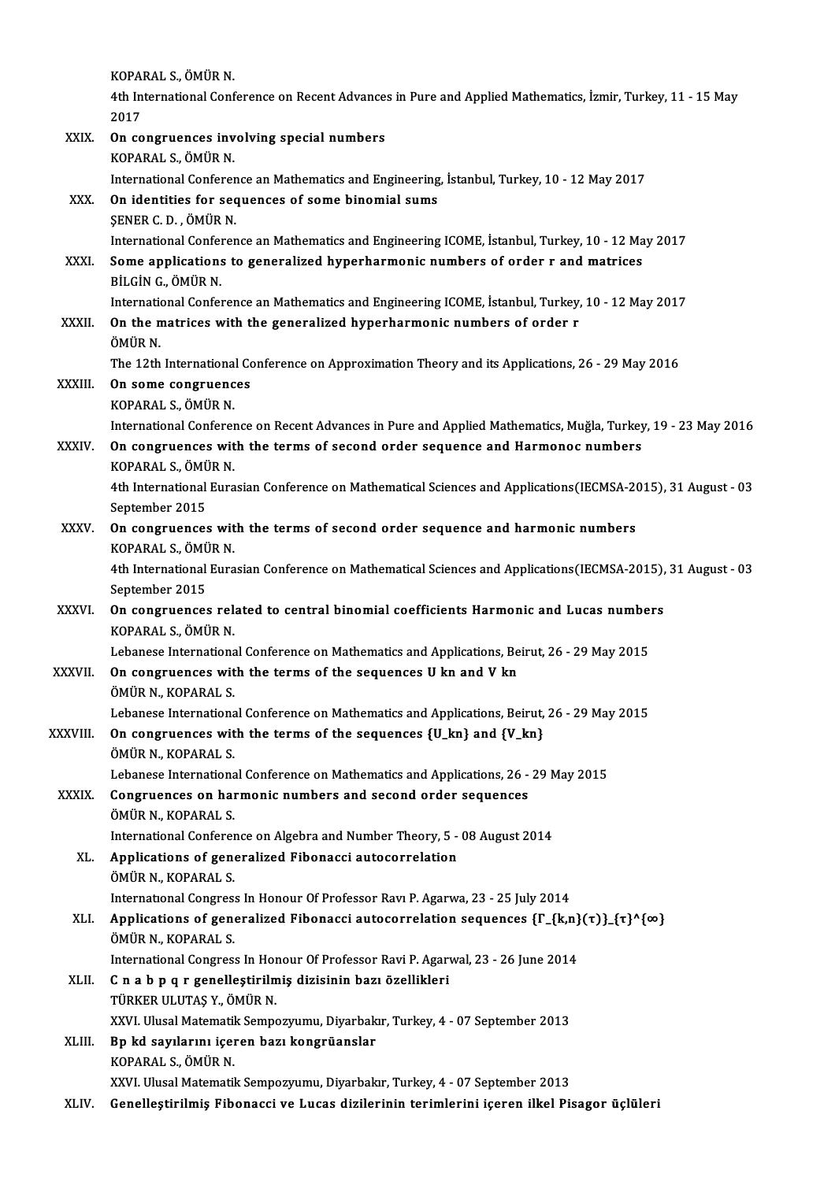|              | KOPARAL S., ÖMÜR N.                                                                                                                    |
|--------------|----------------------------------------------------------------------------------------------------------------------------------------|
|              | 4th International Conference on Recent Advances in Pure and Applied Mathematics, İzmir, Turkey, 11 - 15 May                            |
|              | 2017                                                                                                                                   |
| XXIX.        | On congruences involving special numbers                                                                                               |
|              | KOPARAL S., ÖMÜR N.                                                                                                                    |
|              | International Conference an Mathematics and Engineering, İstanbul, Turkey, 10 - 12 May 2017                                            |
| XXX.         | On identities for sequences of some binomial sums                                                                                      |
|              | ŞENER C. D., ÖMÜR N.                                                                                                                   |
|              | International Conference an Mathematics and Engineering ICOME, İstanbul, Turkey, 10 - 12 May 2017                                      |
| XXXI.        | Some applications to generalized hyperharmonic numbers of order r and matrices                                                         |
|              | BİLGİN G., ÖMÜR N.                                                                                                                     |
|              | International Conference an Mathematics and Engineering ICOME, İstanbul, Turkey, 10 - 12 May 2017                                      |
| XXXII.       | On the matrices with the generalized hyperharmonic numbers of order r                                                                  |
|              | ÖMÜR <sub>N.</sub>                                                                                                                     |
| XXXIII.      | The 12th International Conference on Approximation Theory and its Applications, 26 - 29 May 2016<br>On some congruences                |
|              | KOPARAL S., ÖMÜR N.                                                                                                                    |
|              | International Conference on Recent Advances in Pure and Applied Mathematics, Muğla, Turkey, 19 - 23 May 2016                           |
| XXXIV.       | On congruences with the terms of second order sequence and Harmonoc numbers                                                            |
|              | KOPARAL S., ÖMÜR N.                                                                                                                    |
|              | 4th International Eurasian Conference on Mathematical Sciences and Applications(IECMSA-2015), 31 August - 03                           |
|              | September 2015                                                                                                                         |
| XXXV.        | On congruences with the terms of second order sequence and harmonic numbers                                                            |
|              | KOPARAL S., ÖMÜR N.                                                                                                                    |
|              | 4th International Eurasian Conference on Mathematical Sciences and Applications (IECMSA-2015), 31 August - 03                          |
|              | September 2015                                                                                                                         |
| <b>XXXVI</b> | On congruences related to central binomial coefficients Harmonic and Lucas numbers                                                     |
|              | KOPARAL S., ÖMÜR N.                                                                                                                    |
|              | Lebanese International Conference on Mathematics and Applications, Beirut, 26 - 29 May 2015                                            |
| XXXVII.      | On congruences with the terms of the sequences U kn and V kn                                                                           |
|              | ÖMÜR N., KOPARAL S.                                                                                                                    |
|              | Lebanese International Conference on Mathematics and Applications, Beirut, 26 - 29 May 2015                                            |
| XXXVIII.     | On congruences with the terms of the sequences {U_kn} and {V_kn}<br>ÖMÜR N., KOPARAL S.                                                |
|              | Lebanese International Conference on Mathematics and Applications, 26 - 29 May 2015                                                    |
| <b>XXXIX</b> | Congruences on harmonic numbers and second order sequences                                                                             |
|              | ÖMÜR N., KOPARAL S.                                                                                                                    |
|              | International Conference on Algebra and Number Theory, 5 - 08 August 2014                                                              |
| XL.          | Applications of generalized Fibonacci autocorrelation                                                                                  |
|              | ÖMÜR N., KOPARAL S.                                                                                                                    |
|              | International Congress In Honour Of Professor Ravi P. Agarwa, 23 - 25 July 2014                                                        |
| XLI.         | Applications of generalized Fibonacci autocorrelation sequences $\{\Gamma_{\text{-}}\{k,n\}(\tau)\}$ $\{\tau\}^{\Lambda}$ { $\infty$ } |
|              | ÖMÜR N., KOPARAL S.                                                                                                                    |
|              | International Congress In Honour Of Professor Ravi P. Agarwal, 23 - 26 June 2014                                                       |
| XLII.        | C n a b p q r genelleștirilmiș dizisinin bazı özellikleri                                                                              |
|              | TÜRKER ULUTAŞ Y., ÖMÜR N.                                                                                                              |
|              | XXVI. Ulusal Matematik Sempozyumu, Diyarbakır, Turkey, 4 - 07 September 2013                                                           |
| XLIII.       | Bp kd sayılarını içeren bazı kongrüanslar                                                                                              |
|              | KOPARAL S., ÖMÜR N.                                                                                                                    |
|              | XXVI. Ulusal Matematik Sempozyumu, Diyarbakır, Turkey, 4 - 07 September 2013                                                           |
| XLIV.        | Genelleştirilmiş Fibonacci ve Lucas dizilerinin terimlerini içeren ilkel Pisagor üçlüleri                                              |